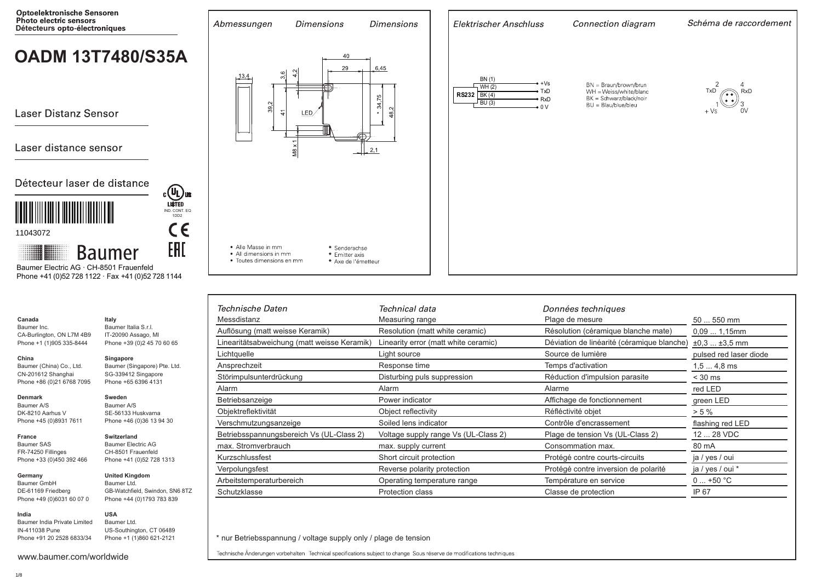

| <b>Photo electric sensors</b><br>Détecteurs opto-électroniques                                                                | Abmessungen<br><b>Dimensions</b>                                          | <b>Dimensions</b>                                      | Elektrischer Anschluss                                                           | Connection diagram                                                       | Schéma de raccordement        |
|-------------------------------------------------------------------------------------------------------------------------------|---------------------------------------------------------------------------|--------------------------------------------------------|----------------------------------------------------------------------------------|--------------------------------------------------------------------------|-------------------------------|
| <b>OADM 13T7480/S35A</b>                                                                                                      | 3,6<br>13,4<br>$\overline{4}$                                             | 40<br>29<br>$-6,45$<br>ŕФ).                            | BN (1)<br>∙ +Vs<br>WH(2)                                                         | BN = Braun/brown/brun                                                    |                               |
| <b>Laser Distanz Sensor</b>                                                                                                   | 39.2<br>$\frac{4}{5}$<br>LED/                                             | 34,75<br>$\sim$<br>ထံ<br>$\star$                       | $\bullet$ TxD<br>RS232 BK (4)<br>$\bullet$ RxD<br>$\sqrt{\text{BU}(3)}$<br>$-0V$ | WH = Weiss/white/blanc<br>BK = Schwarz/black/noir<br>BU = Blau/blue/bleu | TxD<br>$\bigcap$ RxD<br>$+VS$ |
| Laser distance sensor                                                                                                         | $\frac{8}{2}$                                                             | $-\frac{1}{2}$ 2.1                                     |                                                                                  |                                                                          |                               |
| Détecteur laser de distance<br>$c$ (U <sub>L</sub> ) us                                                                       |                                                                           |                                                        |                                                                                  |                                                                          |                               |
| IND. CONT. EQ<br>1DD2<br>C€<br>11043072                                                                                       |                                                                           |                                                        |                                                                                  |                                                                          |                               |
| EAC<br>Hilli<br><b>Baumer</b><br>Baumer Electric AG · CH-8501 Frauenfeld<br>Phone +41 (0)52 728 1122 · Fax +41 (0)52 728 1144 | • Alle Masse in mm<br>• All dimensions in mm<br>• Toutes dimensions en mm | * Senderachse<br>* Emitter axis<br>* Axe de l'émetteur |                                                                                  |                                                                          |                               |

|                                                | Technische Daten                            | Technical data                       | Données techniques                         |                        |
|------------------------------------------------|---------------------------------------------|--------------------------------------|--------------------------------------------|------------------------|
| Italy                                          | Messdistanz                                 | Measuring range                      | Plage de mesure                            | 50  550 mm             |
| Baumer Italia S.r.l.<br>IT-20090 Assago, MI    | Auflösung (matt weisse Keramik)             | Resolution (matt white ceramic)      | Résolution (céramique blanche mate)        | 0,091,15mm             |
| Phone +39 (0)2 45 70 60 65                     | Linearitätsabweichung (matt weisse Keramik) | Linearity error (matt white ceramic) | Déviation de linéarité (céramique blanche) | $\pm 0.3$ $\pm 3.5$ mm |
| Singapore                                      | Lichtquelle                                 | Light source                         | Source de lumière                          | pulsed red laser diode |
| Baumer (Singapore) Pte. Ltd.                   | Ansprechzeit                                | Response time                        | Temps d'activation                         | 1,5  4,8 ms            |
| SG-339412 Singapore<br>Phone +65 6396 4131     | Störimpulsunterdrückung                     | Disturbing puls suppression          | Réduction d'impulsion parasite             | $<$ 30 ms              |
|                                                | Alarm                                       | Alarm                                | Alarme                                     | red LED                |
| Sweden<br>Baumer A/S                           | Betriebsanzeige                             | Power indicator                      | Affichage de fonctionnement                | green LED              |
| SE-56133 Huskvarna                             | Objektreflektivität                         | Object reflectivity                  | Réfléctivité objet                         | $> 5 \%$               |
| Phone +46 (0)36 13 94 30                       | Verschmutzungsanzeige                       | Soiled lens indicator                | Contrôle d'encrassement                    | flashing red LED       |
| <b>Switzerland</b>                             | Betriebsspannungsbereich Vs (UL-Class 2)    | Voltage supply range Vs (UL-Class 2) | Plage de tension Vs (UL-Class 2)           | 12  28 VDC             |
| <b>Baumer Electric AG</b>                      | max. Stromverbrauch                         | max. supply current                  | Consommation max.                          | 80 mA                  |
| CH-8501 Frauenfeld<br>Phone +41 (0)52 728 1313 | Kurzschlussfest                             | Short circuit protection             | Protégé contre courts-circuits             | ja / yes / oui         |
|                                                | Verpolungsfest                              | Reverse polarity protection          | Protégé contre inversion de polarité       | ja / yes / oui *       |
| <b>United Kingdom</b><br>Baumer Ltd.           | Arbeitstemperaturbereich                    | Operating temperature range          | Température en service                     | $0+50 °C$              |
| GB-Watchfield, Swindon, SN6 8TZ                | Schutzklasse                                | Protection class                     | Classe de protection                       | IP 67                  |
| Phone +44 (0)1793 783 839                      |                                             |                                      |                                            |                        |

\* nur Betriebsspannung / voltage supply only / plage de tension

Technische Änderungen vorbehalten Technical specifications subject to change Sous réserve de modifications techniques

www.baumer.com/worldwide

Baumer India Private Limited IN-411038 Pune Phone +91 20 2528 6833/34

**Canada** Baumer Inc.

**China** 

**Denmark** Baumer A/S DK-8210 Aarhus V Phone +45 (0)8931 7611

**France** Baumer SAS FR-74250 Fillinges Phone +33 (0)450 392 466

**Germany**  Baumer GmbH DE-61169 Friedberg Phone +49 (0)6031 60 07 0

**India**

CA-Burlington, ON L7M 4B9 Phone +1 (1)905 335-8444

US-Southington, CT 06489 Phone +1 (1)860 621-2121

**USA** Baumer Ltd.

Baumer (China) Co., Ltd. CN-201612 Shanghai Phone +86 (0)21 6768 7095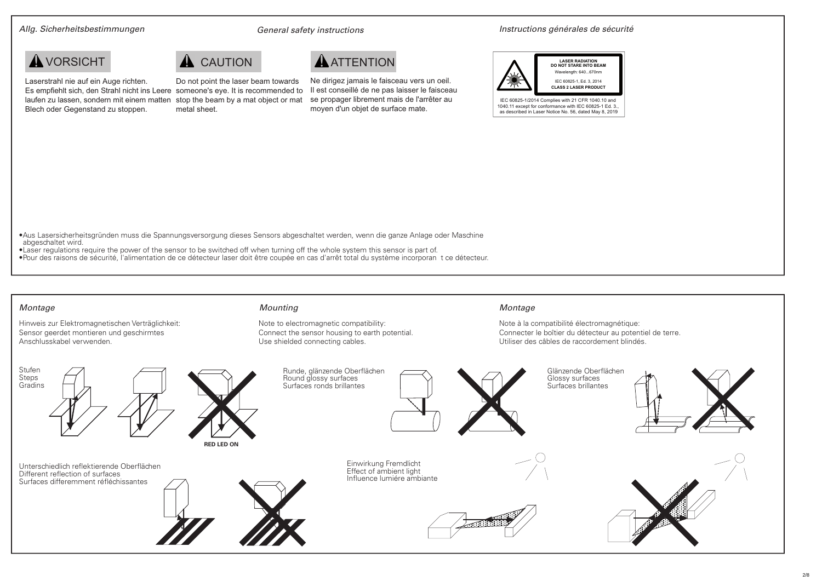Laserstrahl nie auf ein Auge richten.

Blech oder Gegenstand zu stoppen.

Allg. Sicherheitsbestimmungen General safety instructions Instructions générales de sécurité

## **A** VORSICHT **A** CAUTION **A** ATTENTION



Es empfiehlt sich, den Strahl nicht ins Leere someone's eye. It is recommended to laufen zu lassen, sondern mit einem matten stop the beam by a mat object or mat Do not point the laser beam towards metal sheet.

Ne dirigez jamais le faisceau vers un oeil. Il est conseillé de ne pas laisser le faisceau se propager librement mais de l'arrêter au moyen d'un objet de surface mate.



Note à la compatibilité électromagnétique:

Utiliser des câbles de raccordement blindés.

Connecter le boîtier du détecteur au potentiel de terre.

•Aus Lasersicherheitsgründen muss die Spannungsversorgung dieses Sensors abgeschaltet werden, wenn die ganze Anlage oder Maschine abgeschaltet wird.

- •Laser regulations require the power of the sensor to be switched off when turning off the whole system this sensor is part of.
- •Pour des raisons de sécurité, l'alimentation de ce détecteur laser doit être coupée en cas d'arrêt total du système incorporan t ce détecteur.

## Montage Mounting Montage

Hinweis zur Elektromagnetischen Verträglichkeit: Sensor geerdet montieren und geschirmtes Anschlusskabel verwenden.

Note to electromagnetic compatibility: Connect the sensor housing to earth potential. Use shielded connecting cables.

## **RED LED ON** Runde, glänzende Oberflächen Round glossy surfaces Gradins  $\Box$  Surfaces ronds brillantes | | Surfaces ronds brillantes | | | Surfaces brillantes Glänzende Oberflächen Glossy surfaces<br>Surfaces brillantes Stufen Steps<br>Gradins Einwirkung Fremdlicht Effect of ambient light<br>Influence lumiére ambiante **Influence differemment réfléchissantes** Unterschiedlich reflektierende Oberflächen Different reflection of surfaces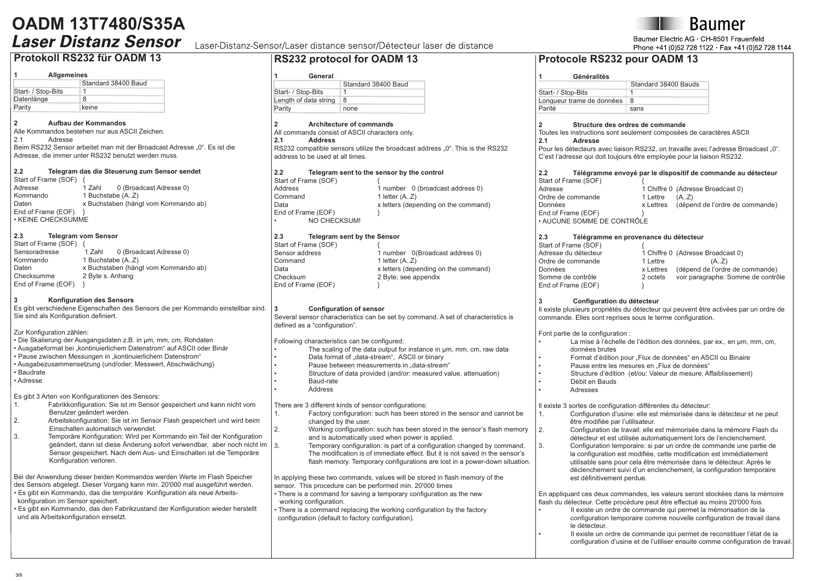## **Protokoll RS232 für OADM 13**

### **1 Allgemeines**

| Standard 38400 Baud |
|---------------------|
|                     |
| 8                   |
| keine               |
|                     |

## **2 Aufbau der Kommandos**

Alle Kommandos bestehen nur aus ASCII Zeichen. **Adresse** 

Beim RS232 Sensor arbeitet man mit der Broadcast Adresse "0". Es ist die Adresse, die immer unter RS232 benutzt werden muss.

## **2.2 Telegram das die Steuerung zum Sensor sendet**

Start of Frame (SOF) {<br>Adresse 1 Zahl Adresse 1 Zahl 0 (Broadcast Adresse 0)<br>Kommando 1 Buchstabe (A 7) Kommando 1 Buchstabe (A..Z)<br>Daten x Buchstaben (hän x Buchstaben (hängt vom Kommando ab) End of Frame (EOF) • KEINE CHECKSUMME

## **2.3 Telegram vom Sensor**

| 1 Zahl           | 0 (Broadcast Adresse 0)              |
|------------------|--------------------------------------|
| 1 Buchstabe (AZ) |                                      |
|                  | x Buchstaben (hängt vom Kommando ab) |
| 2 Byte s. Anhang |                                      |
|                  |                                      |
|                  |                                      |

## **3 Konfiguration des Sensors**

Es gibt verschiedene Eigenschaften des Sensors die per Kommando einstellbar sind. Sie sind als Konfiguration definiert.

Zur Konfiguration zählen:

• Die Skalierung der Ausgangsdaten z.B. in µm, mm, cm, Rohdaten • Ausgabeformat bei "kontinuierlichem Datenstrom" auf ASCII oder Binär • Pause zwischen Messungen in "kontinuierlichem Datenstrom" • Ausgabezusammensetzung (und/oder: Messwert, Abschwächung) • Baudrate

• Adresse

Es gibt 3 Arten von Konfigurationen des Sensors:

- 1. Fabrikkonfiguration: Sie ist im Sensor gespeichert und kann nicht vom Benutzer geändert werden.<br>2. Arbeitskonfiguration: Sie ist
- 2. Arbeitskonfiguration: Sie ist im Sensor Flash gespeichert und wird beim Einschalten automatisch verwendet.<br>
Temporäre Konfiguration: Wird per K
- 3. Temporäre Konfiguration: Wird per Kommando ein Teil der Konfiguration geändert, dann ist diese Änderung sofort verwendbar, aber noch nicht im Sensor gespeichert. Nach dem Aus- und Einschalten ist die Temporäre Konfiguration verloren.

Bei der Anwendung dieser beiden Kommandos werden Werte im Flash Speicher des Sensors abgelegt. Dieser Vorgang kann min. 20'000 mal ausgeführt werden.

• Es gibt ein Kommando, das die temporäre Konfiguration als neue Arbeits konfiguration im Sensor speichert.

• Es gibt ein Kommando, das den Fabrikzustand der Konfiguration wieder herstellt und als Arbeitskonfiguration einsetzt.

## Laser-Distanz-Sensor/Laser distance sensor/Détecteur laser de distance

## **RS232 protocol for OADM 13**

## **1 General**

| -------               |                     |
|-----------------------|---------------------|
|                       | Standard 38400 Baud |
| Start- / Stop-Bits    |                     |
| Length of data string | 8                   |
| Parity                | none                |

## **2 Architecture of commands**

All commands consist of ASCII characters only.<br>2.1 Address

## **2.1 Address**

RS232 compatible sensors utilize the broadcast address . 0". This is the RS232 address to be used at all times.

## **2.2 Telegram sent to the sensor by the control** Start<br>Addre

| Start of Frame (SOF)      |                                      |
|---------------------------|--------------------------------------|
| Address                   | 1 number 0 (broadcast address 0)     |
| Command                   | 1 letter $(AZ)$                      |
| Data                      | x letters (depending on the command) |
| End of Frame (EOF)        |                                      |
| NO CHECKSUM!<br>$\bullet$ |                                      |

#### **2.3 Telegram sent by the Sensor** Start of Fram

| Start of Frame (SOF) |                                      |
|----------------------|--------------------------------------|
| Sensor address       | 1 number 0(Broadcast address 0)      |
| Command              | 1 letter $(AZ)$                      |
| Data                 | x letters (depending on the command) |
| Checksum             | 2 Byte; see appendix                 |
| End of Frame (EOF)   |                                      |

## **3 Configuration of sensor**

Several sensor characteristics can be set by command. A set of characteristics is defined as a "configuration". Following characteristics can be configured: The scaling of the data output for instance in um, mm, cm, raw data

Data format of "data-stream", ASCII or binary

- Pause between measurements in "data-stream"
- Structure of data provided (and/or: measured value, attenuation)
- Baud-rate
- **Address**

## There are 3 different kinds of sensor configurations:

- Factory configuration: such has been stored in the sensor and cannot be changed by the user.
- 2. Working configuration: such has been stored in the sensor's flash memory and is automatically used when power is applied.
	- Temporary configuration: is part of a configuration changed by command. The modification is of immediate effect. But it is not saved in the sensor's flash memory. Temporary configurations are lost in a power-down situation.

In applying these two commands, values will be stored in flash memory of the sensor. This procedure can be performed min. 20'000 times

- There is a command for saving a temporary configuration as the new working configuration.
- There is a command replacing the working configuration by the factory configuration (default to factory configuration).

## **Protocole RS232 pour OADM 13**

| Généralités               |                      |
|---------------------------|----------------------|
|                           | Standard 38400 Bauds |
| Start- / Stop-Bits        |                      |
| Lonqueur trame de données | 8                    |
| Parité                    | sans                 |

## **2 Structure des ordres de commande**

Toutes les instructions sont seulement composées de caractères ASCII **2.1 Adresse**

Pour les détecteurs avec liaison RS232, on travaille avec l'adresse Broadcast .....  $0^{\circ}$ . C'est l'adresse qui doit toujours être employée pour la liaison RS232.

| 2.2                        |           | Télégramme envoyé par le dispositif de commande au détecteur |
|----------------------------|-----------|--------------------------------------------------------------|
| Start of Frame (SOF)       |           |                                                              |
| Adresse                    |           | 1 Chiffre 0 (Adresse Broadcast 0)                            |
| Ordre de commande          | 1 Lettre  | (A,Z)                                                        |
| Données                    | x Lettres | (dépend de l'ordre de commande)                              |
| End of Frame (EOF)         |           |                                                              |
| · AUCUNE SOMME DE CONTRÔLE |           |                                                              |

## **2.3 Télégramme en provenance du détecteur**  Start of Frame (SOF)

| Adresse du détecteur |           | 1 Chiffre 0 (Adresse Broadcast 0)  |
|----------------------|-----------|------------------------------------|
| Ordre de commande    | 1 Lettre  | (AZ)                               |
| Données              | x Lettres | (dépend de l'ordre de commande)    |
| Somme de contrôle    | 2 octets  | voir paragraphe: Somme de contrôle |
| End of Frame (EOF)   |           |                                    |

## **3 Configuration du détecteur**

Il existe plusieurs propriétés du détecteur qui peuvent être activées par un ordre de commande. Elles sont reprises sous le terme configuration.

Font partie de la configuration :

- La mise à l'échelle de l'édition des données, par ex., en um, mm, cm, données brutes
- Format d'édition pour "Flux de données" en ASCII ou Binaire
- Pause entre les mesures en "Flux de données"
- Structure d'édition (et/ou: Valeur de mesure, Affaiblissement)
- Débit en Bauds
- Adresses

Il existe 3 sortes de configuration différentes du détecteur:

- Configuration d'usine: elle est mémorisée dans le détecteur et ne peut être modifiée par l'utilisateur.<br>2 Configuration de travail: elle e
	- 2. Configuration de travail: elle est mémorisée dans la mémoire Flash du
- détecteur et est utilisée automatiquement lors de l'enclenchement.<br>Configuration temporaire: si par un ordre de commande une partie 3. Configuration temporaire: si par un ordre de commande une partie de la configuration est modifiée, cette modification est immédiatement utilisable sans pour cela être mémorisée dans le détecteur. Après le déclenchement suivi d'un enclenchement, la configuration temporaire est définitivement perdue.

En appliquant ces deux commandes, les valeurs seront stockées dans la mémoire flash du détecteur. Cette procédure peut être effectué au moins 20'000 fois.

• Il existe un ordre de commande qui permet la mémorisation de la configuration temporaire comme nouvelle configuration de travail dans le détecteur.

• Il existe un ordre de commande qui permet de reconstituer l'état de la configuration d'usine et de l'utiliser ensuite comme configuration de travail.





Baumer Electric AG . CH-8501 Frauenfeld Phone +41 (0)52 728 1122 · Fax +41 (0)52 728 1144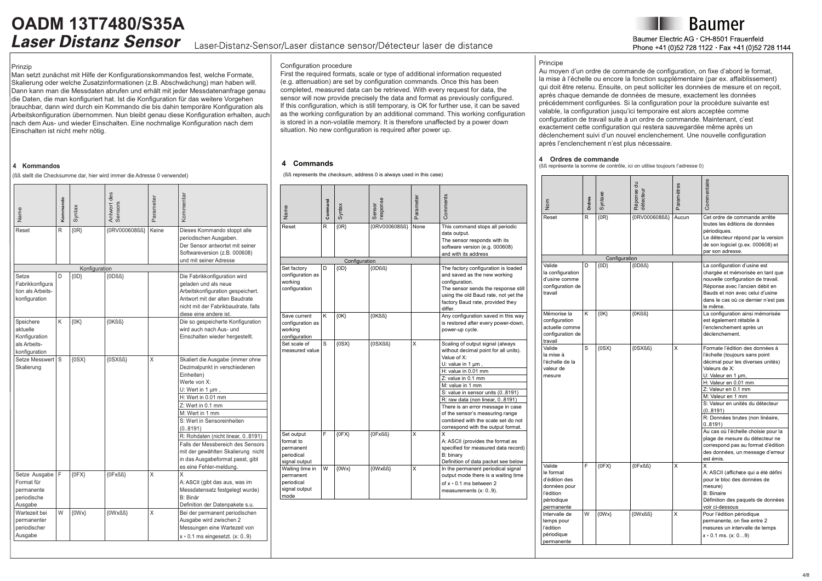## **OADM 13T7480/S35A** Laser-Distanz-Sensor/Laser distance sensor/Détecteur laser de distance

Baumer Electric AG CH-8501 Frauenfeld Phone +41 (0)52 728 1122 Fax +41 (0)52 728 1144

### Prinzip

Man setzt zunächst mit Hilfe der Konfigurationskommandos fest, welche Formate, Skalierung oder welche Zusatzinformationen (z.B. Abschwächung) man haben will. Dann kann man die Messdaten abrufen und erhält mit jeder Messdatenanfrage genau die Daten, die man konfiguriert hat. Ist die Konfiguration für das weitere Vorgehen brauchbar, dann wird durch ein Kommando die bis dahin temporäre Konfiguration als Arbeitskonfiguration übernommen. Nun bleibt genau diese Konfiguration erhalten, auch nach dem Aus- und wieder Einschalten. Eine nochmalige Konfiguration nach dem Einschalten ist nicht mehr nötig.

## **4 Kommandos**

(ßß stellt die Checksumme dar, hier wird immer die Adresse 0 verwendet)

| Name                                                                    | Kommando | Syntax        | Antwort des<br>Sensors | Parameter | Kommentar                                                                                                                                                                                                                                                                                                                                                                                                        |
|-------------------------------------------------------------------------|----------|---------------|------------------------|-----------|------------------------------------------------------------------------------------------------------------------------------------------------------------------------------------------------------------------------------------------------------------------------------------------------------------------------------------------------------------------------------------------------------------------|
| Reset                                                                   | R        | $\{0R\}$      | {0RV000608ßß}          | Keine     | Dieses Kommando stoppt alle<br>periodischen Ausgaben.<br>Der Sensor antwortet mit seiner<br>Softwareversion (z.B. 000608)<br>und mit seiner Adresse                                                                                                                                                                                                                                                              |
|                                                                         |          | Konfiguration |                        |           |                                                                                                                                                                                                                                                                                                                                                                                                                  |
| Setze<br>Fabrikkonfigura<br>tion als Arbeits-<br>konfiguration          | D        | ${OD}$        | ${ODBS}$               |           | Die Fabrikkonfiguration wird<br>geladen und als neue<br>Arbeitskonfiguration gespeichert.<br>Antwort mit der alten Baudrate<br>nicht mit der Fabrikbaudrate, falls<br>diese eine andere ist.                                                                                                                                                                                                                     |
| Speichere<br>aktuelle<br>Konfiguration<br>als Arbeits-<br>konfiguration | K        | $\{0K\}$      | $\{OKBS\}$             |           | Die so gespeicherte Konfiguration<br>wird auch nach Aus- und<br>Einschalten wieder hergestellt.                                                                                                                                                                                                                                                                                                                  |
| Setze Messwert<br>Skalierung                                            | S        | (0SX)         | {OSXßß}                | X         | Skaliert die Ausgabe (immer ohne<br>Dezimalpunkt in verschiedenen<br>Einheiten)<br>Werte von X:<br>$U:$ Wert in 1 $\mu$ m,<br>H: Wert in 0.01 mm<br>Z: Wert in 0.1 mm<br>M: Wert in 1 mm<br>S: Wert in Sensoreinheiten<br>(08191)<br>R: Rohdaten (nicht linear, 08191)<br>Falls der Messbereich des Sensors<br>mit der gewählten Skalierung nicht<br>in das Ausgabeformat passt, gibt<br>es eine Fehler-meldung. |
| Setze Ausgabe<br>Format für<br>permanente<br>periodische<br>Ausgabe     | F        | ${0FX}$       | ${OFxBB}$              | X         | X<br>A: ASCII (gibt das aus, was im<br>Messdatensatz festgelegt wurde)<br>B: Binär<br>Definition der Datenpakete s.u.                                                                                                                                                                                                                                                                                            |
| Wartezeit bei<br>permanenter<br>periodischer<br>Ausgabe                 | W        | $\{OWx\}$     | {OWxßß}                | X         | Bei der permanent periodischen<br>Ausgabe wird zwischen 2<br>Messungen eine Wartezeit von<br>$x * 0.1$ ms eingesetzt. (x: 09)                                                                                                                                                                                                                                                                                    |

## Configuration procedure

First the required formats, scale or type of additional information requested (e.g. attenuation) are set by configuration commands. Once this has been completed, measured data can be retrieved. With every request for data, the sensor will now provide precisely the data and format as previously configured. If this configuration, which is still temporary, is OK for further use, it can be saved as the working configuration by an additional command. This working configuration is stored in a non-volatile memory. It is therefore unaffected by a power down situation. No new configuration is required after power up.

## **4 Commands**

(ßß represents the checksum, address 0 is always used in this case)

| Name<br>Reset                                                       | Command<br>R | Syntax<br>$\{OR\}$ | response<br>Sensor<br>{0RV000608ß} | Parameter<br>None | Comments<br>This command stops all periodic                                                                                                                                                                                                                                                                                                                                                               |
|---------------------------------------------------------------------|--------------|--------------------|------------------------------------|-------------------|-----------------------------------------------------------------------------------------------------------------------------------------------------------------------------------------------------------------------------------------------------------------------------------------------------------------------------------------------------------------------------------------------------------|
|                                                                     |              |                    |                                    |                   | data output.<br>The sensor responds with its<br>software version (e.g. 000608)<br>and with its address                                                                                                                                                                                                                                                                                                    |
|                                                                     |              | Configuration      |                                    |                   |                                                                                                                                                                                                                                                                                                                                                                                                           |
| Set factory<br>configuration as<br>workina<br>configuration         | D            | ${OD}$             | ${ODBS}$                           |                   | The factory configuration is loaded<br>and saved as the new working<br>configuration.<br>The sensor sends the response still<br>using the old Baud rate, not yet the<br>factory Baud rate, provided they<br>differ.                                                                                                                                                                                       |
| Save current<br>configuration as<br>working<br>configuration        | ĸ            | $\{OK\}$           | $\{OKBS\}$                         |                   | Any configuration saved in this way<br>is restored after every power-down,<br>power-up cycle.                                                                                                                                                                                                                                                                                                             |
| Set scale of<br>measured value                                      | S            | $\{$ 0SX\}         | {OSXßß}                            | x                 | Scaling of output signal (always<br>without decimal point for all units).<br>Value of X:<br>U: value in 1 um,<br>H: value in 0.01 mm<br>Z: value in 0.1 mm<br>M: value in 1 mm<br>S: value in sensor units (08191)<br>R: raw data (non linear, 08191)<br>There is an error message in case<br>of the sensor's measuring range<br>combined with the scale set do not<br>correspond with the output format. |
| Set output<br>format to<br>permanent<br>periodical<br>signal output | F            | ${0FX}$            | {OFxßß}                            | x                 | X<br>A: ASCII (provides the format as<br>specified for measured data record)<br>B: binary<br>Definition of data packet see below                                                                                                                                                                                                                                                                          |
| Waiting time in<br>permanent<br>periodical<br>signal output<br>mode | W            | $\{OWx\}$          | $\{OWxBB\}$                        | x                 | In the permanent periodical signal<br>output mode there is a waiting time<br>of $x * 0.1$ ms between 2<br>measurements (x: 09).                                                                                                                                                                                                                                                                           |

## Principe

Au moyen d'un ordre de commande de configuration, on fixe d'abord le format, la mise à l'échelle ou encore la fonction supplémentaire (par ex. affaiblissement) qui doit être retenu. Ensuite, on peut solliciter les données de mesure et on reçoit, après chaque demande de données de mesure, exactement les données précédemment configurées. Si la configuration pour la procédure suivante est valable, la configuration jusqu'ici temporaire est alors acceptée comme configuration de travail suite à un ordre de commande. Maintenant, c'est exactement cette configuration qui restera sauvegardée même après un déclenchement suivi d'un nouvel enclenchement. Une nouvelle configuration après l'enclenchement n'est plus nécessaire.

#### **4 Ordres de commande**

(ßß représente la somme de contrôle, ici on utilise toujours l'adresse 0)

| Nom                                                                                           | Ordres | Syntaxe       | Réponse du<br>détecteu | <b>Paramètres</b> | Commentaire                                                                                                                                                                                                                    |
|-----------------------------------------------------------------------------------------------|--------|---------------|------------------------|-------------------|--------------------------------------------------------------------------------------------------------------------------------------------------------------------------------------------------------------------------------|
| Reset                                                                                         | R      | $\{0R\}$      | {0RV000608ß}           | Aucun             | Cet ordre de commande arrête<br>toutes les éditions de données<br>périodiques.<br>Le détecteur répond par la version<br>de son logiciel (p.ex. 000608) et<br>par son adresse.                                                  |
|                                                                                               |        | Configuration |                        |                   |                                                                                                                                                                                                                                |
| Valide<br>la configuration<br>d'usine comme<br>configuration de<br>travail                    | D      | ${OD}$        | ${ODBS}$               |                   | La configuration d'usine est<br>chargée et mémorisée en tant que<br>nouvelle configuration de travail.<br>Réponse avec l'ancien débit en<br>Bauds et non avec celui d'usine<br>dans le cas où ce dernier n'est pas<br>le même. |
| Mémorise la<br>configuration<br>actuelle comme<br>configuration de<br>travail                 | ĸ      | $\{0K\}$      | $\{OKBS\}$             |                   | La configuration ainsi mémorisée<br>est également rétablie à<br>l'enclenchement après un<br>déclenchement.                                                                                                                     |
| Valide<br>la mise à<br>l'échelle de la<br>valeur de<br>mesure                                 | S      | (0SX)         | {0SXßß}                | X                 | Formate l'édition des données à<br>l'échelle (toujours sans point<br>décimal pour les diverses unités)<br>Valeurs de X:<br>U: Valeur en 1 µm,                                                                                  |
|                                                                                               |        |               |                        |                   | H: Valeur en 0.01 mm                                                                                                                                                                                                           |
|                                                                                               |        |               |                        |                   | Z: Valeur en 0.1 mm                                                                                                                                                                                                            |
|                                                                                               |        |               |                        |                   | M: Valeur en 1 mm<br>S: Valeur en unités du détecteur<br>(0.8191)                                                                                                                                                              |
|                                                                                               |        |               |                        |                   | R: Données brutes (non linéaire,<br>0.8191                                                                                                                                                                                     |
|                                                                                               |        |               |                        |                   | Au cas où l'échelle choisie pour la<br>plage de mesure du détecteur ne<br>correspond pas au format d'édition<br>des données, un message d'erreur<br>est émis.                                                                  |
| Valide<br>le format<br>d'édition des<br>données pour<br>l'édition<br>périodique<br>permanente | F      | ${0FX}$       | {OFxßß}                | X                 | X<br>A: ASCII (affichece qui a été défini<br>pour le bloc des données de<br>mesure)<br><b>B: Binaire</b><br>Définition des paquets de données<br>voir ci-dessous                                                               |
| Intervalle de<br>temps pour<br>l'édition<br>périodique<br>permanente                          | W      | $\{OWx\}$     | {OWxßß}                | x                 | Pour l'édition périodique<br>permanente, on fixe entre 2<br>mesures un intervalle de temps<br>$x * 0.1$ ms. $(x: 09)$                                                                                                          |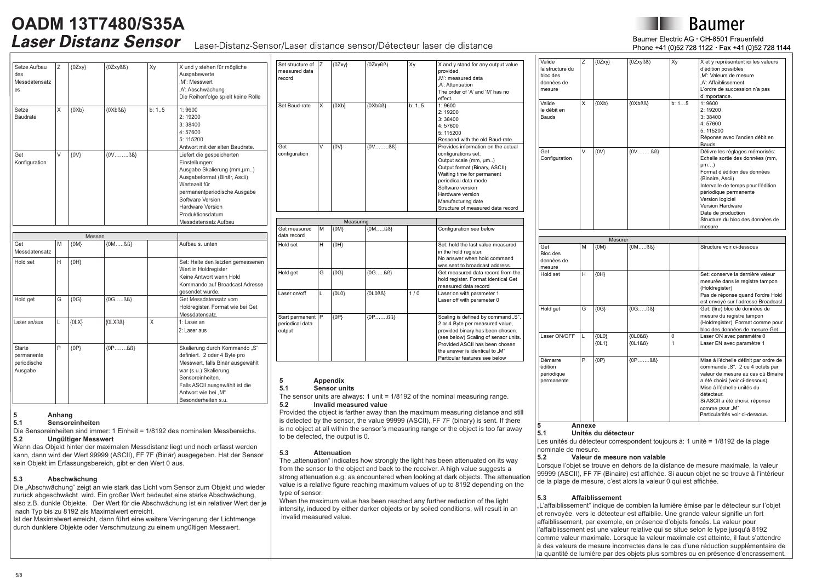## Laser-Distanz-Sensor/Laser distance sensor/Détecteur laser de distance

## Baumer Flectric AG . CH-8501 Frauenfeld Phone +41 (0)52 728 1122 Fax +41 (0)52 728 1144

| Setze Aufbau<br>des<br>Messdatensatz<br>es            | Z | ${OZxy}$  | ${OZxyBB}$         | Хy     | X und y stehen für mögliche<br>Ausgabewerte<br>.M': Messwert<br>.A': Abschwächung<br>Die Reihenfolge spielt keine Rolle                                                                                                                        |
|-------------------------------------------------------|---|-----------|--------------------|--------|------------------------------------------------------------------------------------------------------------------------------------------------------------------------------------------------------------------------------------------------|
| Setze<br>Baudrate                                     | X | $\{0Xb\}$ | ${OXbBS}$          | b: 1.5 | 1:9600<br>2:19200<br>3:38400<br>4:57600<br>5: 115200<br>Antwort mit der alten Baudrate.                                                                                                                                                        |
| Get<br>Konfiguration                                  | V | $\{0V\}$  | $\{0 \vee$ $\{0\}$ |        | Liefert die gespeicherten<br>Einstellungen:<br>Ausgabe Skalierung (mm,um)<br>Ausgabeformat (Binär, Ascii)<br>Wartezeit für<br>permanentperiodische Ausgabe<br>Software Version<br>Hardware Version<br>Produktionsdatum<br>Messdatensatz Aufbau |
|                                                       |   | Messen    |                    |        |                                                                                                                                                                                                                                                |
| Get<br>Messdatensatz                                  | M | $\{OM\}$  | $\{OM$ $\{BS\}$    |        | Aufbau s. unten                                                                                                                                                                                                                                |
| Hold set                                              | H | $\{OH\}$  |                    |        | Set: Halte den letzten gemessenen<br>Wert in Holdregister<br>Keine Antwort wenn Hold<br>Kommando auf Broadcast Adresse<br>gesendet wurde.                                                                                                      |
| Hold get                                              | G | ${0G}$    | ${0G$ ${BS}$       |        | Get Messdatensatz vom<br>Holdregister. Format wie bei Get<br>Messdatensatz.                                                                                                                                                                    |
| Laser an/aus                                          | L | ${0L}X$   | {OLXßß}            | X      | 1: Laser an<br>2: Laser aus                                                                                                                                                                                                                    |
| <b>Starte</b><br>permanente<br>periodische<br>Ausgabe | P | ${OP}$    | ${OP$ ${BB}$       |        | Skalierung durch Kommando "S"<br>definiert. 2 oder 4 Byte pro<br>Messwert, falls Binär ausgewählt<br>war (s.u.) Skalierung<br>Sensoreinheiten.<br>Falls ASCII ausgewählt ist die<br>Antwort wie bei "M"                                        |

| Set structure of            | Z | ${OZxy}$  | ${OZxyBB}$            | Xy     | X and y stand for any output value   |
|-----------------------------|---|-----------|-----------------------|--------|--------------------------------------|
| measured data               |   |           |                       |        | provided                             |
| record                      |   |           |                       |        | .M': measured data                   |
|                             |   |           |                       |        | .A': Attenuation                     |
|                             |   |           |                       |        |                                      |
|                             |   |           |                       |        | The order of 'A' and 'M' has no      |
|                             |   |           |                       |        | effect.                              |
| Set Baud-rate               | x | ${OXb}$   | ${OXbBB}$             | h: 1.5 | 1:9600                               |
|                             |   |           |                       |        | 2:19200                              |
|                             |   |           |                       |        | 3:38400                              |
|                             |   |           |                       |        | 4:57600                              |
|                             |   |           |                       |        | 5: 115200                            |
|                             |   |           |                       |        | Respond with the old Baud-rate.      |
| Get                         | V | $\{0V\}$  | ${0V$ $IBB}$          |        | Provides information on the actual   |
| configuration               |   |           |                       |        | configurations set:                  |
|                             |   |           |                       |        | Output scale (mm, µm)                |
|                             |   |           |                       |        | Output format (Binary, ASCII)        |
|                             |   |           |                       |        | Waiting time for permanent           |
|                             |   |           |                       |        |                                      |
|                             |   |           |                       |        | periodical data mode                 |
|                             |   |           |                       |        | Software version                     |
|                             |   |           |                       |        | Hardware version                     |
|                             |   |           |                       |        | Manufacturing date                   |
|                             |   |           |                       |        | Structure of measured data record    |
|                             |   |           |                       |        |                                      |
|                             |   | Measuring |                       |        |                                      |
| Get measured<br>data record | М | $\{OM\}$  | $\{OM$ $\beta\beta\}$ |        | Configuration see below              |
| Hold set                    | H | $\{OH\}$  |                       |        | Set: hold the last value measured    |
|                             |   |           |                       |        | in the hold register.                |
|                             |   |           |                       |        | No answer when hold command          |
|                             |   |           |                       |        | was sent to broadcast address.       |
|                             |   |           |                       |        |                                      |
| Hold get                    | G | ${O}$     | ${0G$ ${BS}$          |        | Get measured data record from the    |
|                             |   |           |                       |        | hold register. Format identical Get  |
|                             |   |           |                       |        | measured data record                 |
| Laser on/off                | L | ${OLO}$   | ${OLOSB}$             | 1/0    | Laser on with parameter 1            |
|                             |   |           |                       |        | Laser off with parameter 0           |
|                             |   |           |                       |        |                                      |
| Start permanent   P         |   | ${OP}$    | ${OP$ ${BB}$          |        | Scaling is defined by command "S".   |
| periodical data             |   |           |                       |        | 2 or 4 Byte per measured value,      |
|                             |   |           |                       |        |                                      |
| output                      |   |           |                       |        | provided binary has been chosen.     |
|                             |   |           |                       |        | (see below) Scaling of sensor units. |
|                             |   |           |                       |        | Provided ASCII has been chosen       |
|                             |   |           |                       |        | the answer is identical to "M"       |
|                             |   |           |                       |        | Particular features see below        |

## **5 Appendix**

## **5.1 Sensor units**

The sensor units are always: 1 unit =  $1/8192$  of the nominal measuring range.<br>5.2 **Invalid measured value** 

## **5.2 Invalid measured value**

Provided the object is farther away than the maximum measuring distance and still is detected by the sensor, the value 99999 (ASCII), FF 7F (binary) is sent. If there is no object at all within the sensor's measuring range or the object is too far away to be detected, the output is 0.

#### **5.3 Attenuation**

The "attenuation" indicates how strongly the light has been attenuated on its way from the sensor to the object and back to the receiver. A high value suggests a strong attenuation e.g. as encountered when looking at dark objects. The attenuation value is a relative figure reaching maximum values of up to 8192 depending on the type of sensor.

When the maximum value has been reached any further reduction of the light intensity, induced by either darker objects or by soiled conditions, will result in an invalid measured value.

| Z | ${OZxy}$ | {0Zxyßß)                                                | Xγ                                                                | X et y représentent ici les valeurs   |
|---|----------|---------------------------------------------------------|-------------------------------------------------------------------|---------------------------------------|
|   |          |                                                         |                                                                   | d'édition possibles                   |
|   |          |                                                         |                                                                   | .M': Valeurs de mesure                |
|   |          |                                                         |                                                                   | .A': Affaiblissement                  |
|   |          |                                                         |                                                                   | L'ordre de succession n'a pas         |
|   |          |                                                         |                                                                   | d'importance.                         |
| X | ${OXb}$  | ${OXbBB}$                                               | h: 15                                                             | 1:9600                                |
|   |          |                                                         |                                                                   | 2:19200                               |
|   |          |                                                         |                                                                   | 3:38400                               |
|   |          |                                                         |                                                                   | 4:57600                               |
|   |          |                                                         |                                                                   | 5:115200                              |
|   |          |                                                         |                                                                   | Réponse avec l'ancien débit en        |
|   |          |                                                         |                                                                   | Bauds                                 |
| V | $\{0V\}$ | $\{0 \vee \dots \dots \dots \dots \dots \dots \dots \}$ |                                                                   | Délivre les réglages mémorisés:       |
|   |          |                                                         |                                                                   | Echelle sortie des données (mm,       |
|   |          |                                                         |                                                                   | µm)                                   |
|   |          |                                                         |                                                                   | Format d'édition des données          |
|   |          |                                                         |                                                                   | (Binaire, Ascii)                      |
|   |          |                                                         |                                                                   | Intervalle de temps pour l'édition    |
|   |          |                                                         |                                                                   | périodique permanente                 |
|   |          |                                                         |                                                                   | Version logiciel                      |
|   |          |                                                         |                                                                   | Version Hardware                      |
|   |          |                                                         |                                                                   | Date de production                    |
|   |          |                                                         |                                                                   | Structure du bloc des données de      |
|   |          |                                                         |                                                                   | mesure                                |
|   |          |                                                         |                                                                   |                                       |
|   |          |                                                         |                                                                   |                                       |
| M | $\{OM\}$ | $\{OM$ $BS\}$                                           |                                                                   | Structure voir ci-dessous             |
|   |          |                                                         |                                                                   |                                       |
|   |          |                                                         |                                                                   |                                       |
|   |          |                                                         |                                                                   |                                       |
|   | $\{OH\}$ |                                                         |                                                                   | Set: conserve la dernière valeur      |
|   |          |                                                         |                                                                   | mesurée dans le registre tampon       |
|   |          |                                                         |                                                                   | (Holdregister)                        |
|   |          |                                                         |                                                                   | Pas de réponse quand l'ordre Hold     |
|   |          |                                                         |                                                                   | est envoyé sur l'adresse Broadcast    |
| G |          | ${0G$ ${BB}$                                            |                                                                   | Get: (lire) bloc de données de        |
|   |          |                                                         |                                                                   | mesure du registre tampon             |
|   |          |                                                         |                                                                   | (Holdregister). Format comme pour     |
|   |          |                                                         |                                                                   | bloc des données de mesure Get        |
| L |          |                                                         |                                                                   | Laser ON avec paramètre 0             |
|   |          |                                                         | $\mathbf{1}$                                                      | Laser EN avec paramètre 1             |
|   |          |                                                         |                                                                   |                                       |
|   |          |                                                         |                                                                   | Mise à l'échelle définit par ordre de |
|   |          |                                                         |                                                                   | commande "S". 2 ou 4 octets par       |
|   |          |                                                         |                                                                   | valeur de mesure au cas où Binaire    |
|   |          |                                                         |                                                                   |                                       |
|   |          |                                                         |                                                                   | a été choisi (voir ci-dessous).       |
|   |          |                                                         |                                                                   | Mise à l'échelle unités du            |
|   |          |                                                         |                                                                   | détecteur.                            |
|   |          |                                                         |                                                                   | Si ASCII a été choisi, réponse        |
|   |          |                                                         |                                                                   | comme pour "M"                        |
|   |          |                                                         |                                                                   | Particularités voir ci-dessous.       |
|   | H<br>P   | ${OG}$<br>${OLO}$<br>${OL1}$<br>${OP}$                  | Mesurer<br>${OLOB}$<br>${OL1B3}$<br>$\{OP, \ldots, \mathsf{BB}\}$ | 0                                     |

## **5 Annexe**

**5.1 Unités du détecteur**

Les unités du détecteur correspondent toujours à: 1 unité = 1/8192 de la plage nominale de mesure.

## **5.2 Valeur de mesure non valable**

Lorsque l'objet se trouve en dehors de la distance de mesure maximale, la valeur 99999 (ASCII), FF 7F (Binaire) est affichée. Si aucun objet ne se trouve à l'intérieur de la plage de mesure, c'est alors la valeur 0 qui est affichée.

#### **5.3 Affaiblissement**

"L'affaiblissement" indique de combien la lumière émise par le détecteur sur l'objet et renvoyée vers le détecteur est affaiblie. Une grande valeur signifie un fort affaiblissement, par exemple, en présence d'objets foncés. La valeur pour l'affaiblissement est une valeur relative qui se situe selon le type jusqu'à 8192 comme valeur maximale. Lorsque la valeur maximale est atteinte, il faut s'attendre à des valeurs de mesure incorrectes dans le cas d'une réduction supplémentaire de la quantité de lumière par des objets plus sombres ou en présence d'encrassement.

## **5 Anhang**

**5.1 Sensoreinheiten**

Die Sensoreinheiten sind immer: 1 Einheit = 1/8192 des nominalen Messbereichs.<br>5.2 **Ungültiger Messwert 5.2 Ungültiger Messwert**

Wenn das Objekt hinter der maximalen Messdistanz liegt und noch erfasst werden kann, dann wird der Wert 99999 (ASCII), FF 7F (Binär) ausgegeben. Hat der Sensor kein Objekt im Erfassungsbereich, gibt er den Wert 0 aus.

## **5.3 Abschwächung**

Die "Abschwächung" zeigt an wie stark das Licht vom Sensor zum Objekt und wieder zurück abgeschwächt wird. Ein großer Wert bedeutet eine starke Abschwächung, also z.B. dunkle Objekte. Der Wert für die Abschwächung ist ein relativer Wert der je nach Typ bis zu 8192 als Maximalwert erreicht.

Ist der Maximalwert erreicht, dann führt eine weitere Verringerung der Lichtmenge durch dunklere Objekte oder Verschmutzung zu einem ungültigen Messwert.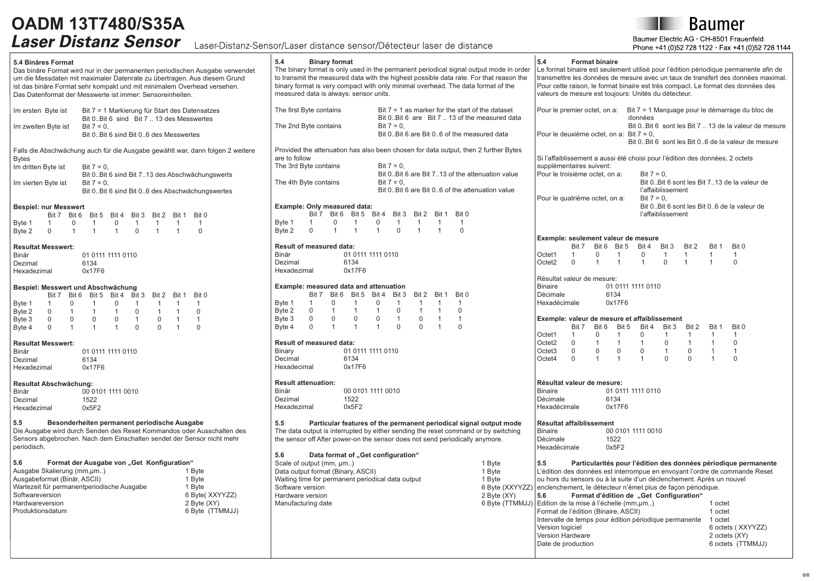## Lacor Distanz Consor Lacor distance sonsor (Détectour lacor de distance

**Baumer** 

Baumer Electric AG · CH-8501 Frauenfeld 728 1144

| ULUIIL UUIIUUI                                                                                                                                                                                                                                                                                                                                                                                                                                                                                                                                                                                                                                                          | Laser-Distanz-Sensor/Laser distance sensor/Detecteur laser de distance                                                                                                                                                                                                                                                                                                                                                                                                                                                                                                                                                                                      | Phone +41 (0)52 728 1122 Fax +41 (0)52 728 114                                                                                                                                                                                                                                                                                                                                                                                                                                                                          |
|-------------------------------------------------------------------------------------------------------------------------------------------------------------------------------------------------------------------------------------------------------------------------------------------------------------------------------------------------------------------------------------------------------------------------------------------------------------------------------------------------------------------------------------------------------------------------------------------------------------------------------------------------------------------------|-------------------------------------------------------------------------------------------------------------------------------------------------------------------------------------------------------------------------------------------------------------------------------------------------------------------------------------------------------------------------------------------------------------------------------------------------------------------------------------------------------------------------------------------------------------------------------------------------------------------------------------------------------------|-------------------------------------------------------------------------------------------------------------------------------------------------------------------------------------------------------------------------------------------------------------------------------------------------------------------------------------------------------------------------------------------------------------------------------------------------------------------------------------------------------------------------|
| 5.4 Binäres Format<br>Das binäre Format wird nur in der permanenten periodischen Ausgabe verwendet<br>um die Messdaten mit maximaler Datenrate zu übertragen. Aus diesem Grund<br>ist das binäre Format sehr kompakt und mit minimalem Overhead versehen.<br>Das Datenformat der Messwerte ist immer: Sensoreinheiten.                                                                                                                                                                                                                                                                                                                                                  | 5.4<br><b>Binary format</b><br>The binary format is only used in the permanent periodical signal output mode in order<br>to transmit the measured data with the highest possible data rate. For that reason the<br>binary format is very compact with only minimal overhead. The data format of the<br>measured data is always: sensor units.                                                                                                                                                                                                                                                                                                               | 5.4<br><b>Format binaire</b><br>Le format binaire est seulement utilisé pour l'édition périodique permanente afin de<br>transmettre les données de mesure avec un taux de transfert des données maximal.<br>Pour cette raison, le format binaire est très compact. Le format des données des<br>valeurs de mesure est toujours: Unités du détecteur.                                                                                                                                                                    |
| Im ersten Byte ist<br>Bit 7 = 1 Markierung für Start des Datensatzes<br>Bit 0. Bit 6 sind Bit 7  13 des Messwertes<br>Im zweiten Byte ist<br>Bit $7 = 0$ .<br>Bit 0Bit 6 sind Bit 06 des Messwertes                                                                                                                                                                                                                                                                                                                                                                                                                                                                     | The first Byte contains<br>Bit $7 = 1$ as marker for the start of the dataset<br>Bit 0Bit 6 are Bit 7  13 of the measured data<br>The 2nd Byte contains<br>$Bit 7 = 0.$<br>Bit 0Bit 6 are Bit 06 of the measured data                                                                                                                                                                                                                                                                                                                                                                                                                                       | Bit 7 = 1 Marguage pour le démarrage du bloc de<br>Pour le premier octet, on a:<br>données<br>Bit 0 Bit 6 sont les Bit 7  13 de la valeur de mesure<br>Pour le deuxième octet, on a: Bit $7 = 0$ ,                                                                                                                                                                                                                                                                                                                      |
| Falls die Abschwächung auch für die Ausgabe gewählt war, dann folgen 2 weitere<br><b>B</b> vtes<br>Im dritten Byte ist<br>Bit $7 = 0$ .<br>Bit 0 Bit 6 sind Bit 713 des Abschwächungswerts<br>Bit $7 = 0$ .<br>Im vierten Byte ist<br>Bit 0Bit 6 sind Bit 06 des Abschwächungswertes                                                                                                                                                                                                                                                                                                                                                                                    | Provided the attenuation has also been chosen for data output, then 2 further Bytes<br>are to follow<br>The 3rd Byte contains<br>$Bit 7 = 0.$<br>Bit 0. Bit 6 are Bit 713 of the attenuation value<br>The 4th Byte contains<br>$Bit 7 = 0.$<br>Bit 0. Bit 6 are Bit 06 of the attenuation value                                                                                                                                                                                                                                                                                                                                                             | Bit 0. Bit 6 sont les Bit 06 de la valeur de mesure<br>Si l'affaiblissement a aussi été choisi pour l'édition des données, 2 octets<br>supplémentaires suivent:<br>Pour le troisième octet, on a:<br>Bit $7 = 0$ ,<br>Bit 0Bit 6 sont les Bit 713 de la valeur de<br>l'affaiblissement                                                                                                                                                                                                                                  |
| <b>Bespiel: nur Messwert</b><br>Bit 7 Bit 6 Bit 5 Bit 4 Bit 3 Bit 2<br>Bit 0<br>Bit 1<br>$\mathbf 0$<br>Byte 1<br>$\overline{1}$<br>$\mathbf 0$<br>$\overline{1}$<br>$\overline{1}$<br>$\overline{1}$<br>$\overline{1}$<br>$\overline{1}$<br>$\mathsf{O}$<br>$\mathbf{1}$<br>$\mathbf 0$<br>$\mathbf{1}$<br>$\mathbf{1}$<br>$\Omega$<br>Byte 2<br>$\mathbf{1}$<br>$\overline{1}$                                                                                                                                                                                                                                                                                        | Example: Only measured data:<br>Bit 7 Bit 6 Bit 5 Bit 4 Bit 3 Bit 2 Bit 1 Bit 0<br>$\mathsf{O}$<br>Byte 1<br>0<br>$\overline{1}$<br>$\overline{1}$<br>$\mathbf{1}$<br>$\overline{1}$<br>$\overline{1}$<br>$\overline{1}$<br>Byte 2<br>$\Omega$<br>$\mathbf{1}$<br>$\Omega$<br>$\Omega$<br>$\mathbf{1}$<br>$\overline{1}$<br>$\overline{1}$                                                                                                                                                                                                                                                                                                                  | $Bit 7 = 0.$<br>Pour le quatrième octet, on a:<br>Bit 0. Bit 6 sont les Bit 06 de la valeur de<br>l'affaiblissement                                                                                                                                                                                                                                                                                                                                                                                                     |
| <b>Resultat Messwert:</b><br>Binär<br>01 0111 1111 0110<br>Dezimal<br>6134<br>0x17F6<br>Hexadezimal                                                                                                                                                                                                                                                                                                                                                                                                                                                                                                                                                                     | Result of measured data:<br>Binär<br>01 0111 1111 0110<br>Dezimal<br>6134<br>Hexadezimal<br>0x17F6                                                                                                                                                                                                                                                                                                                                                                                                                                                                                                                                                          | Exemple: seulement valeur de mesure<br>Bit 3<br>Bit 7 Bit 6 Bit 5<br>Bit 4<br>Bit 2<br>Bit 1<br>Bit 0<br>Octet1<br>$\mathbf{1}$<br>0<br>$\mathbf 0$<br>$\overline{1}$<br>$\mathbf{1}$<br>$\overline{1}$<br>$\mathbf{1}$<br>$\mathbf{1}$<br>Octet2<br>$\mathbf 0$<br>$\overline{1}$<br>$\overline{0}$<br>$\mathbf 0$<br>$\mathbf{1}$<br>$\mathbf{1}$<br>$\mathbf{1}$<br>$\overline{1}$                                                                                                                                   |
| Bespiel: Messwert und Abschwächung<br>Bit 7 Bit 6 Bit 5 Bit 4 Bit 3 Bit 2<br>Bit 1<br>Bit 0<br>$\mathbf 0$<br>$\overline{1}$<br>Byte 1<br>$\overline{1}$<br>$\overline{0}$<br>$\overline{1}$<br>$\overline{1}$<br>$\overline{1}$<br>$\overline{1}$<br>$\mathbf 0$<br>$\mathbf{1}$<br>$\mathbf 0$<br>$\overline{1}$<br>Byte 2<br>0<br>$\overline{1}$<br>$\overline{1}$<br>$\mathbf{1}$<br>$\mathsf{O}$<br>$\mathbf 0$<br>$\mathbf 0$<br>$\overline{1}$<br>$\mathbf 0$<br>$\overline{1}$<br>Byte 3<br>0<br>$\overline{1}$<br>$\mathbf 0$<br>$\mathbf{1}$<br>$\Omega$<br>$\mathbf{0}$<br>$\overline{1}$<br>$\Omega$<br>Byte 4<br>$\mathbf{1}$<br><b>Resultat Messwert:</b> | Example: measured data and attenuation<br>Bit 7 Bit 6 Bit 5 Bit 4<br>Bit 3<br>Bit 2<br>Bit 1 Bit 0<br>Byte 1<br>$\mathbf 0$<br>$\mathbf 0$<br>$\overline{1}$<br>$\mathbf{1}$<br>$\overline{1}$<br>$\mathbf 1$<br>$\mathbf{1}$<br>$\overline{1}$<br>Byte 2<br>$\mathbf 0$<br>$\Omega$<br>$\Omega$<br>$\overline{1}$<br>$\mathbf{1}$<br>$\mathbf{1}$<br>$\overline{1}$<br>Byte 3<br>$\mathbf 0$<br>$\mathbf 0$<br>$\mathbf 0$<br>$\mathbf 0$<br>$\mathbf 0$<br>$\mathbf{1}$<br>$\overline{1}$<br>$\overline{1}$<br>$\mathbf{0}$<br>$\Omega$<br>Byte 4<br>$\Omega$<br>$\overline{1}$<br>$\Omega$<br>$\overline{1}$<br>$\mathbf{1}$<br>Result of measured data: | Résultat valeur de mesure:<br>Binaire<br>01 0111 1111 0110<br>Décimale<br>6134<br>Hexadécimale<br>0x17F6<br>Exemple: valeur de mesure et affaiblissement<br>Bit 7<br>Bit 6<br>Bit 5<br>Bit 4<br>Bit 3<br>Bit 2<br>Bit 1<br>Bit 0<br>$\mathbf 0$<br>$\mathbf 0$<br>$\overline{1}$<br>Octet1<br>$\mathbf{1}$<br>$\mathbf{1}$<br>$\mathbf{1}$<br>$\overline{1}$<br>$\mathbf{1}$<br>$\mathbf 0$<br>Octet2<br>$\mathbf 0$<br>$\mathbf{1}$<br>$\overline{1}$<br>$\mathbf{1}$<br>$\mathbf{1}$<br>$\mathbf 0$<br>$\overline{1}$ |
| Binär<br>01 0111 1111 0110<br>Dezimal<br>6134<br>0x17F6<br>Hexadezimal                                                                                                                                                                                                                                                                                                                                                                                                                                                                                                                                                                                                  | Binary<br>01 0111 1111 0110<br>Decimal<br>6134<br>Hexadecimal<br>0x17F6                                                                                                                                                                                                                                                                                                                                                                                                                                                                                                                                                                                     | $\Omega$<br>$\Omega$<br>$\Omega$<br>$\Omega$<br>$\mathbf{1}$<br>$\Omega$<br>$\overline{1}$<br>$\mathbf{1}$<br>Octet <sub>3</sub><br>Octet4<br>$\Omega$<br>$\mathbf{1}$<br>$\overline{1}$<br>$\mathbf{1}$<br>$\Omega$<br>$\Omega$<br>$\overline{1}$<br>$\Omega$                                                                                                                                                                                                                                                          |
| Resultat Abschwächung:<br>00 0101 1111 0010<br>Binär<br>Dezimal<br>1522<br>0x5F2<br>Hexadezimal                                                                                                                                                                                                                                                                                                                                                                                                                                                                                                                                                                         | <b>Result attenuation:</b><br>Binär<br>00 0101 1111 0010<br>Dezimal<br>1522<br>0x5F2<br>Hexadezimal                                                                                                                                                                                                                                                                                                                                                                                                                                                                                                                                                         | Résultat valeur de mesure:<br><b>Binaire</b><br>01 0111 1111 0110<br>Décimale<br>6134<br>Hexadécimale<br>0x17F6                                                                                                                                                                                                                                                                                                                                                                                                         |
| 5.5<br>Besonderheiten permanent periodische Ausgabe<br>Die Ausgabe wird durch Senden des Reset Kommandos oder Ausschalten des<br>Sensors abgebrochen. Nach dem Einschalten sendet der Sensor nicht mehr<br>periodisch.<br>Format der Ausgabe von "Get Konfiguration"<br>5.6<br>Ausgabe Skalierung (mm, um)<br>1 Byte<br>Ausgabeformat (Binär, ASCII)<br>1 Byte                                                                                                                                                                                                                                                                                                          | 5.5<br>Particular features of the permanent periodical signal output mode<br>The data output is interrupted by either sending the reset command or by switching<br>the sensor off After power-on the sensor does not send periodically anymore.<br>5.6<br>Data format of "Get configuration"<br>Scale of output (mm, µm)<br>1 Byte<br>Data output format (Binary, ASCII)<br>1 Byte<br>Waiting time for permanent periodical data output<br>1 Byte                                                                                                                                                                                                           | Résultat affaiblissement<br><b>Binaire</b><br>00 0101 1111 0010<br>Décimale<br>1522<br>Hexadécimale<br>0x5F2<br>5.5<br>Particularités pour l'édition des données périodique permanente<br>L'édition des données est interrompue en envoyant l'ordre de commande Reset<br>ou hors du sensors ou à la suite d'un déclenchement. Après un nouvel                                                                                                                                                                           |
| Wartezeit für permanentperiodische Ausgabe<br>1 Byte<br>6 Byte(XXYYZZ)<br>Softwareversion<br>2 Byte (XY)<br>Hardwareversion<br>6 Byte (TTMMJJ)<br>Produktionsdatum                                                                                                                                                                                                                                                                                                                                                                                                                                                                                                      | Software version<br>2 Byte (XY)<br>Hardware version<br>Manufacturing date                                                                                                                                                                                                                                                                                                                                                                                                                                                                                                                                                                                   | 6 Byte (XXYYZZ) enclenchement, le détecteur n'émet plus de facon périodique.<br>Format d'édition de "Get Configuration"<br>5.6<br>6 Byte (TTMMJJ) Edition de la mise à l'échelle (mm, µm)<br>1 octet<br>Format de l'édition (Binaire, ASCII)<br>1 octet<br>Intervalle de temps pour édition périodique permanente<br>1 octet<br>Version logiciel<br>6 octets (XXYYZZ)<br>Version Hardware<br>2 octets (XY)<br>Date de production<br>6 octets (TTMMJJ)                                                                   |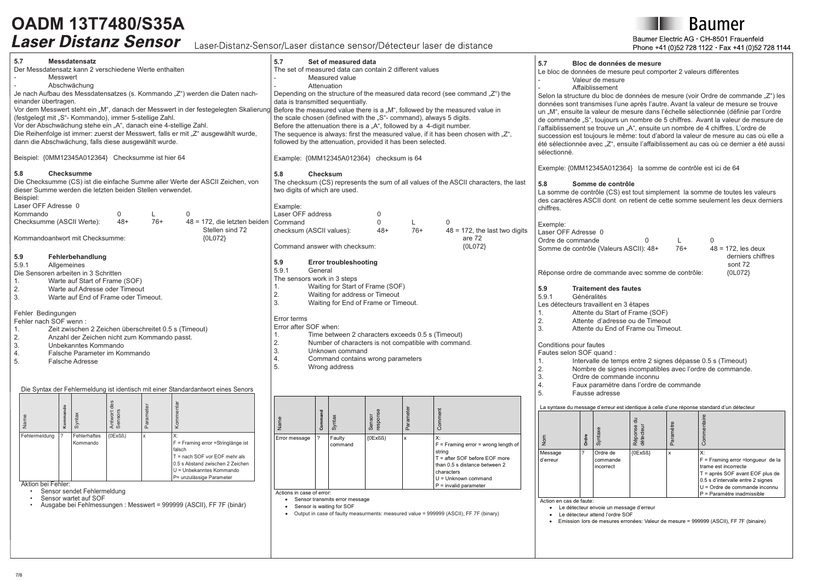Laser-Distanz-Sensor/Laser distance sensor/Détecteur laser de distance

**Baumer** 

Baumer Electric AG · CH-8501 Frauenfeld Phone +41 (0)52 728 1122 · Fax +41 (0)52 728 1144

| 5.7<br><b>Messdatensatz</b><br>Der Messdatensatz kann 2 verschiedene Werte enthalten<br>Messwert<br>Abschwächung<br>Je nach Aufbau des Messdatensatzes (s. Kommando "Z") werden die Daten nach-<br>einander übertragen.<br>Vor dem Messwert steht ein "M", danach der Messwert in der festegelegten Skalierur<br>(festgelegt mit "S"- Kommando), immer 5-stellige Zahl.<br>Vor der Abschwächung stehe ein "A", danach eine 4-stellige Zahl.<br>Die Reihenfolge ist immer: zuerst der Messwert, falls er mit "Z" ausgewählt wurde,<br>dann die Abschwächung, falls diese ausgewählt wurde.<br>Beispiel: {0MM12345A012364} Checksumme ist hier 64                                                                                                                                                                                                                                                                                                                                                                    | 5.7<br>Set of measured data<br>The set of measured data can contain 2 different values<br>Measured value<br>Attenuation<br>Depending on the structure of the measured data record (see command $\mathbb{Z}^n$ ) the<br>data is transmitted sequentially.<br>g Before the measured value there is a "M", followed by the measured value in<br>the scale chosen (defined with the "S"- command), always 5 digits.<br>Before the attenuation there is a "A", followed by a 4-digit number.<br>The sequence is always: first the measured value, if it has been chosen with "Z",<br>followed by the attenuation, provided it has been selected.<br>Example: {0MM12345A012364} checksum is 64                                                                                                                                                                                         | 5.7<br>Bloc de données de mesure<br>Le bloc de données de mesure peut comporter 2 valeurs différentes<br>Valeur de mesure<br>Affaiblissement<br>Selon la structure du bloc de données de mesure (voir Ordre de commande "Z") les<br>données sont transmises l'une après l'autre. Avant la valeur de mesure se trouve<br>un "M", ensuite la valeur de mesure dans l'échelle sélectionnée (définie par l'ordre<br>de commande "S", toujours un nombre de 5 chiffres. Avant la valeur de mesure de<br>l'affaiblissement se trouve un "A", ensuite un nombre de 4 chiffres. L'ordre de<br>succession est toujours le même: tout d'abord la valeur de mesure au cas où elle a<br>été sélectionnée avec "Z", ensuite l'affaiblissement au cas où ce dernier a été aussi<br>sélectionné.<br>Exemple: {0MM12345A012364} la somme de contrôle est ici de 64                                                                                                                                                                   |
|--------------------------------------------------------------------------------------------------------------------------------------------------------------------------------------------------------------------------------------------------------------------------------------------------------------------------------------------------------------------------------------------------------------------------------------------------------------------------------------------------------------------------------------------------------------------------------------------------------------------------------------------------------------------------------------------------------------------------------------------------------------------------------------------------------------------------------------------------------------------------------------------------------------------------------------------------------------------------------------------------------------------|----------------------------------------------------------------------------------------------------------------------------------------------------------------------------------------------------------------------------------------------------------------------------------------------------------------------------------------------------------------------------------------------------------------------------------------------------------------------------------------------------------------------------------------------------------------------------------------------------------------------------------------------------------------------------------------------------------------------------------------------------------------------------------------------------------------------------------------------------------------------------------|----------------------------------------------------------------------------------------------------------------------------------------------------------------------------------------------------------------------------------------------------------------------------------------------------------------------------------------------------------------------------------------------------------------------------------------------------------------------------------------------------------------------------------------------------------------------------------------------------------------------------------------------------------------------------------------------------------------------------------------------------------------------------------------------------------------------------------------------------------------------------------------------------------------------------------------------------------------------------------------------------------------------|
| 5.8<br><b>Checksumme</b><br>Die Checksumme (CS) ist die einfache Summe aller Werte der ASCII Zeichen, von<br>dieser Summe werden die letzten beiden Stellen verwendet.<br>Beispiel:<br>Laser OFF Adresse 0<br>Kommando<br>$\Omega$<br>L<br>$\Omega$<br>Checksumme (ASCII Werte):<br>$48+$<br>$76+$<br>48 = 172, die letzten beider<br>Stellen sind 72<br>Kommandoantwort mit Checksumme:<br>{0L072}<br>5.9<br>Fehlerbehandlung<br>5.9.1<br>Allgemeines<br>Die Sensoren arbeiten in 3 Schritten<br>Warte auf Start of Frame (SOF)<br>1.<br>2.<br>Warte auf Adresse oder Timeout<br>3.<br>Warte auf End of Frame oder Timeout.<br>Fehler Bedingungen<br>Fehler nach SOF wenn:<br>Zeit zwischen 2 Zeichen überschreitet 0.5 s (Timeout)<br>1.<br>$\overline{2}$<br>Anzahl der Zeichen nicht zum Kommando passt.<br>3.<br>Unbekanntes Kommando<br>$\overline{4}$<br>Falsche Parameter im Kommando<br>5.<br><b>Falsche Adresse</b><br>Die Syntax der Fehlermeldung ist identisch mit einer Standardantwort eines Senors | 5.8<br><b>Checksum</b><br>The checksum (CS) represents the sum of all values of the ASCII characters, the last<br>two digits of which are used.<br>Example:<br>Laser OFF address<br>$\Omega$<br>$\mathbf 0$<br>Command<br>$\mathsf{L}$<br>$\Omega$<br>checksum (ASCII values):<br>$48+$<br>$76+$<br>$48 = 172$ , the last two digits<br>are 72<br>{0L072}<br>Command answer with checksum:<br>5.9<br><b>Error troubleshooting</b><br>5.9.1<br>General<br>The sensors work in 3 steps<br>Waiting for Start of Frame (SOF)<br>1.<br>2.<br>Waiting for address or Timeout<br>3.<br>Waiting for End of Frame or Timeout.<br>Error terms<br>Error after SOF when:<br>1.<br>Time between 2 characters exceeds 0.5 s (Timeout)<br>2.<br>Number of characters is not compatible with command.<br>3.<br>Unknown command<br>4.<br>Command contains wrong parameters<br>5.<br>Wrong address | 5.8<br>Somme de contrôle<br>La somme de contrôle (CS) est tout simplement la somme de toutes les valeurs<br>des caractères ASCII dont on retient de cette somme seulement les deux derniers<br>chiffres.<br>Exemple:<br>Laser OFF Adresse 0<br>Ordre de commande<br>$\mathbf 0$<br>0<br>L<br>Somme de contrôle (Valeurs ASCII): 48+<br>$76+$<br>$48 = 172$ , les deux<br>derniers chiffres<br>sont 72<br>Réponse ordre de commande avec somme de contrôle:<br>{0L072}<br>5.9<br><b>Traitement des fautes</b><br>5.9.1<br>Généralités<br>Les détecteurs travaillent en 3 étapes<br>1.<br>Attente du Start of Frame (SOF)<br>2.<br>Attente d'adresse ou de Timeout<br>3.<br>Attente du End of Frame ou Timeout.<br>Conditions pour fautes<br>Fautes selon SOF quand :<br>Intervalle de temps entre 2 signes dépasse 0.5 s (Timeout)<br>1.<br>2.<br>Nombre de signes incompatibles avec l'ordre de commande.<br>3.<br>Ordre de commande inconnu<br>4.<br>Faux paramètre dans l'ordre de commande<br>5<br>Fausse adresse |
| Antwort of<br>Paran<br>Syn<br>Ş<br>ž<br>Fehlerhaftes<br>$\{OExBS\}$<br>Fehlermeldung<br>X:<br>F = Framing error = Stringlänge ist<br>Kommando<br>falsch<br>T = nach SOF vor EOF mehr als<br>0.5 s Abstand zwischen 2 Zeichen<br>U = Unbekanntes Kommando<br>P= unzulässige Parameter<br>Aktion bei Fehler:<br>Sensor sendet Fehlermeldung<br>Sensor wartet auf SOF<br>Ausgabe bei Fehlmessungen : Messwert = 999999 (ASCII), FF 7F (binär)                                                                                                                                                                                                                                                                                                                                                                                                                                                                                                                                                                         | $\tilde{\mathbf{r}}$<br>Sensor<br>response<br>Syntax<br>cor<br>${0Ex(B)}$<br>Error message<br>Faulty<br>$X$ :<br>$F =$ Framing error = wrong length of<br>command<br>string<br>T = after SOF before EOF more<br>than 0.5 s distance between 2<br>characters<br>$U =$ Unknown command<br>$P =$ invalid parameter<br>Actions in case of error:<br>• Sensor transmits error message<br>Sensor is waiting for SOF<br>• Output in case of faulty measurments: measured value = 999999 (ASCII), FF 7F (binary)                                                                                                                                                                                                                                                                                                                                                                         | La syntaxe du message d'erreur est identique à celle d'une réponse standard d'un détecteur<br>Réponse<br>Syntaxe<br>Parar<br>Ordre<br>Nom<br>Message<br>Ordre de<br>$\{OExBS\}$<br>Х:<br>d'erreur<br>F = Framing error = longueur de la<br>commande<br>trame est incorrecte<br>incorrect<br>T = après SOF avant EOF plus de<br>0.5 s d'intervalle entre 2 signes<br>U = Ordre de commande inconnu<br>P = Paramètre inadmissible<br>Action en cas de faute:<br>· Le détecteur envoie un message d'erreur<br>• Le détecteur attend l'ordre SOF<br>· Emission lors de mesures erronées: Valeur de mesure = 999999 (ASCII), FF 7F (binaire)                                                                                                                                                                                                                                                                                                                                                                              |